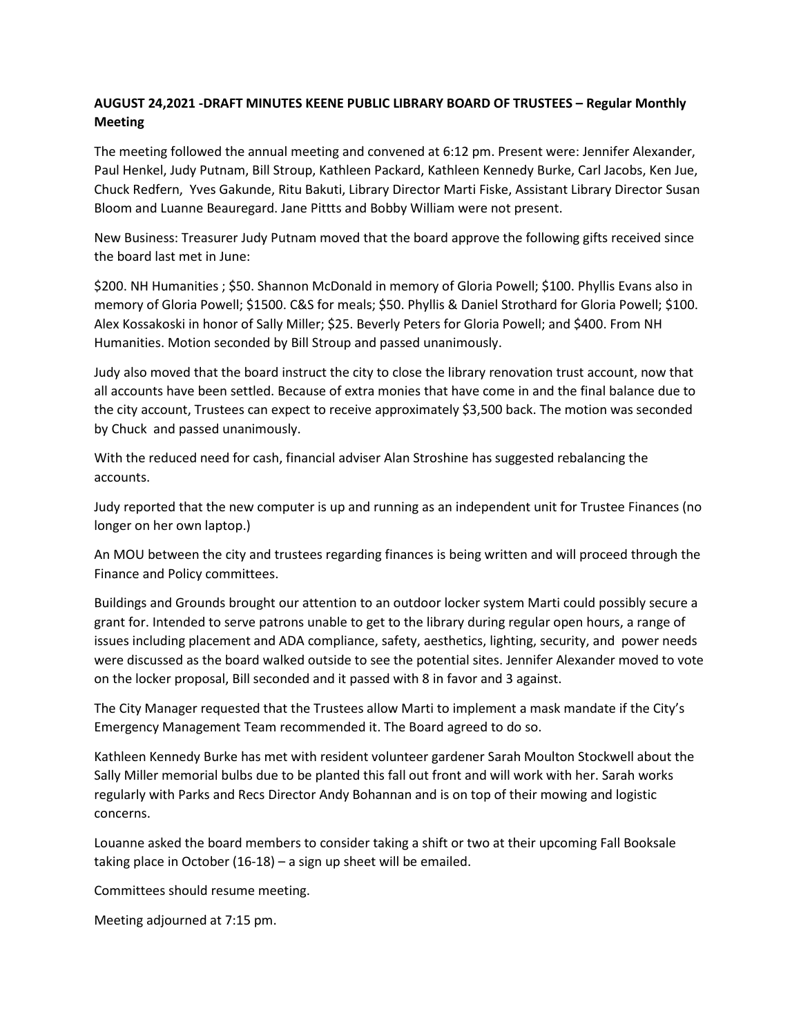## **AUGUST 24,2021 -DRAFT MINUTES KEENE PUBLIC LIBRARY BOARD OF TRUSTEES – Regular Monthly Meeting**

The meeting followed the annual meeting and convened at 6:12 pm. Present were: Jennifer Alexander, Paul Henkel, Judy Putnam, Bill Stroup, Kathleen Packard, Kathleen Kennedy Burke, Carl Jacobs, Ken Jue, Chuck Redfern, Yves Gakunde, Ritu Bakuti, Library Director Marti Fiske, Assistant Library Director Susan Bloom and Luanne Beauregard. Jane Pittts and Bobby William were not present.

New Business: Treasurer Judy Putnam moved that the board approve the following gifts received since the board last met in June:

\$200. NH Humanities ; \$50. Shannon McDonald in memory of Gloria Powell; \$100. Phyllis Evans also in memory of Gloria Powell; \$1500. C&S for meals; \$50. Phyllis & Daniel Strothard for Gloria Powell; \$100. Alex Kossakoski in honor of Sally Miller; \$25. Beverly Peters for Gloria Powell; and \$400. From NH Humanities. Motion seconded by Bill Stroup and passed unanimously.

Judy also moved that the board instruct the city to close the library renovation trust account, now that all accounts have been settled. Because of extra monies that have come in and the final balance due to the city account, Trustees can expect to receive approximately \$3,500 back. The motion was seconded by Chuck and passed unanimously.

With the reduced need for cash, financial adviser Alan Stroshine has suggested rebalancing the accounts.

Judy reported that the new computer is up and running as an independent unit for Trustee Finances (no longer on her own laptop.)

An MOU between the city and trustees regarding finances is being written and will proceed through the Finance and Policy committees.

Buildings and Grounds brought our attention to an outdoor locker system Marti could possibly secure a grant for. Intended to serve patrons unable to get to the library during regular open hours, a range of issues including placement and ADA compliance, safety, aesthetics, lighting, security, and power needs were discussed as the board walked outside to see the potential sites. Jennifer Alexander moved to vote on the locker proposal, Bill seconded and it passed with 8 in favor and 3 against.

The City Manager requested that the Trustees allow Marti to implement a mask mandate if the City's Emergency Management Team recommended it. The Board agreed to do so.

Kathleen Kennedy Burke has met with resident volunteer gardener Sarah Moulton Stockwell about the Sally Miller memorial bulbs due to be planted this fall out front and will work with her. Sarah works regularly with Parks and Recs Director Andy Bohannan and is on top of their mowing and logistic concerns.

Louanne asked the board members to consider taking a shift or two at their upcoming Fall Booksale taking place in October (16-18) – a sign up sheet will be emailed.

Committees should resume meeting.

Meeting adjourned at 7:15 pm.